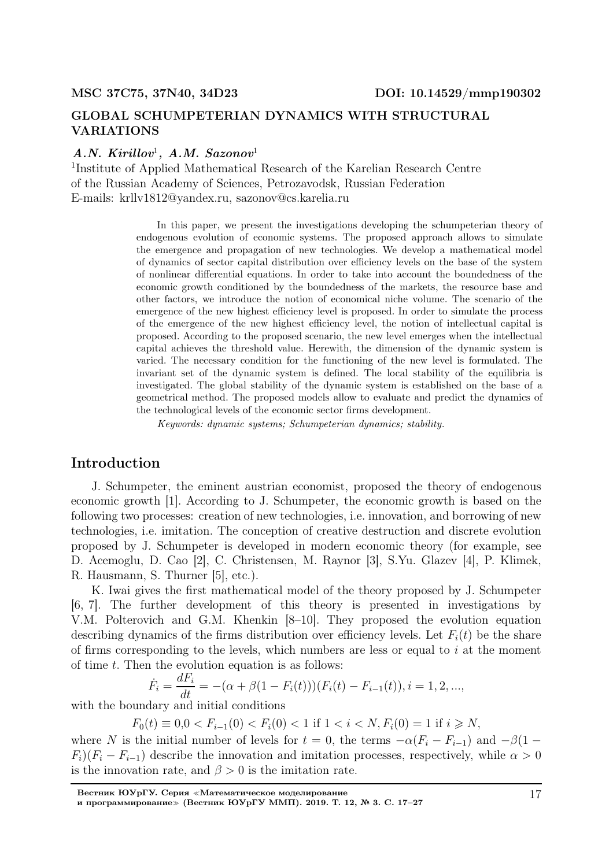### GLOBAL SCHUMPETERIAN DYNAMICS WITH STRUCTURAL VARIATIONS

#### $A.N.$  Kirillov<sup>1</sup>,  $A.M.$  Sazonov<sup>1</sup>

1 Institute of Applied Mathematical Research of the Karelian Research Centre of the Russian Academy of Sciences, Petrozavodsk, Russian Federation E-mails: krllv1812@yandex.ru, sazonov@cs.karelia.ru

> In this paper, we present the investigations developing the schumpeterian theory of endogenous evolution of economic systems. The proposed approach allows to simulate the emergence and propagation of new technologies. We develop a mathematical model of dynamics of sector capital distribution over efficiency levels on the base of the system of nonlinear differential equations. In order to take into account the boundedness of the economic growth conditioned by the boundedness of the markets, the resource base and other factors, we introduce the notion of economical niche volume. The scenario of the emergence of the new highest efficiency level is proposed. In order to simulate the process of the emergence of the new highest efficiency level, the notion of intellectual capital is proposed. According to the proposed scenario, the new level emerges when the intellectual capital achieves the threshold value. Herewith, the dimension of the dynamic system is varied. The necessary condition for the functioning of the new level is formulated. The invariant set of the dynamic system is defined. The local stability of the equilibria is investigated. The global stability of the dynamic system is established on the base of a geometrical method. The proposed models allow to evaluate and predict the dynamics of the technological levels of the economic sector firms development.

Keywords: dynamic systems; Schumpeterian dynamics; stability.

### Introduction

J. Schumpeter, the eminent austrian economist, proposed the theory of endogenous economic growth [1]. According to J. Schumpeter, the economic growth is based on the following two processes: creation of new technologies, i.e. innovation, and borrowing of new technologies, i.e. imitation. The conception of creative destruction and discrete evolution proposed by J. Schumpeter is developed in modern economic theory (for example, see D. Acemoglu, D. Cao [2], C. Christensen, M. Raynor [3], S.Yu. Glazev [4], P. Klimek, R. Hausmann, S. Thurner [5], etc.).

K. Iwai gives the first mathematical model of the theory proposed by J. Schumpeter [6, 7]. The further development of this theory is presented in investigations by V.M. Polterovich and G.M. Khenkin [8–10]. They proposed the evolution equation describing dynamics of the firms distribution over efficiency levels. Let  $F_i(t)$  be the share of firms corresponding to the levels, which numbers are less or equal to  $i$  at the moment of time  $t$ . Then the evolution equation is as follows:

$$
\dot{F}_i = \frac{dF_i}{dt} = -(\alpha + \beta(1 - F_i(t)))(F_i(t) - F_{i-1}(t)), i = 1, 2, ...,
$$

with the boundary and initial conditions

 $F_0(t) \equiv 0, 0 < F_{i-1}(0) < F_i(0) < 1$  if  $1 < i < N$ ,  $F_i(0) = 1$  if  $i \ge N$ ,

where N is the initial number of levels for  $t = 0$ , the terms  $-\alpha(F_i - F_{i-1})$  and  $-\beta(1 F_i$ )( $F_i - F_{i-1}$ ) describe the innovation and imitation processes, respectively, while  $\alpha > 0$ is the innovation rate, and  $\beta > 0$  is the imitation rate.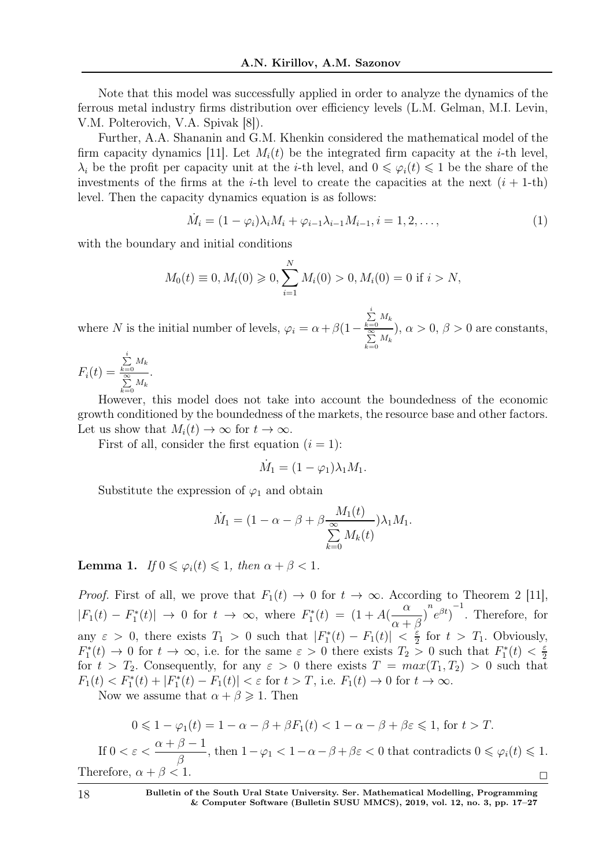Note that this model was successfully applied in order to analyze the dynamics of the ferrous metal industry firms distribution over efficiency levels (L.M. Gelman, M.I. Levin, V.M. Polterovich, V.A. Spivak [8]).

Further, A.A. Shananin and G.M. Khenkin considered the mathematical model of the firm capacity dynamics [11]. Let  $M_i(t)$  be the integrated firm capacity at the *i*-th level,  $\lambda_i$  be the profit per capacity unit at the *i*-th level, and  $0 \leq \varphi_i(t) \leq 1$  be the share of the investments of the firms at the *i*-th level to create the capacities at the next  $(i + 1$ -th) level. Then the capacity dynamics equation is as follows:

$$
\dot{M}_i = (1 - \varphi_i)\lambda_i M_i + \varphi_{i-1}\lambda_{i-1}M_{i-1}, i = 1, 2, \dots,
$$
\n(1)

with the boundary and initial conditions

$$
M_0(t) \equiv 0, M_i(0) \ge 0, \sum_{i=1}^{N} M_i(0) > 0, M_i(0) = 0
$$
 if  $i > N$ ,

where N is the initial number of levels,  $\varphi_i = \alpha + \beta(1-\alpha)$  $\sum_{k=0}^i M_k$  $\sum_{k=0}^{\infty} M_k$  $\alpha > 0, \beta > 0$  are constants,

 $F_i(t) =$  $\sum_{k=0}^i M_k$  $\sum_{k=0}^{\infty} M_k$ .

However, this model does not take into account the boundedness of the economic growth conditioned by the boundedness of the markets, the resource base and other factors. Let us show that  $M_i(t) \to \infty$  for  $t \to \infty$ .

First of all, consider the first equation  $(i = 1)$ :

$$
\dot{M}_1 = (1 - \varphi_1)\lambda_1 M_1.
$$

Substitute the expression of  $\varphi_1$  and obtain

$$
\dot{M}_1 = (1 - \alpha - \beta + \beta \frac{M_1(t)}{\sum_{k=0}^{\infty} M_k(t)}) \lambda_1 M_1.
$$

**Lemma 1.** If  $0 \le \varphi_i(t) \le 1$ , then  $\alpha + \beta < 1$ .

*Proof.* First of all, we prove that  $F_1(t) \to 0$  for  $t \to \infty$ . According to Theorem 2 [11],  $|F_1(t) - F_1^*|$  $T_1^*(t) \rvert \rightarrow 0$  for  $t \rightarrow \infty$ , where  $F_1^*$  $I_1^*(t) = (1 + A(t))$ α  $\frac{\alpha}{\alpha+\beta}$ <sup>n</sup> $e^{\beta t}$ <sub>1</sub><sup>-1</sup> . Therefore, for any  $\varepsilon > 0$ , there exists  $T_1 > 0$  such that  $|F_1^*|$  $\left| \Gamma_1^*(t) - F_1(t) \right| \; < \; \frac{\varepsilon}{2}$  $\frac{\varepsilon}{2}$  for  $t > T_1$ . Obviously,  $F_1^*$  $T_1^*(t) \to 0$  for  $t \to \infty$ , i.e. for the same  $\varepsilon > 0$  there exists  $T_2 > 0$  such that  $F_1^*$  $T_1^*(t) < \frac{\varepsilon}{2}$ 2 for  $t > T_2$ . Consequently, for any  $\varepsilon > 0$  there exists  $T = max(T_1, T_2) > 0$  such that  $F_1(t) < F_1^*(t) + |F_1^*|$  $|I_1^*(t) - F_1(t)| < \varepsilon$  for  $t > T$ , i.e.  $F_1(t) \to 0$  for  $t \to \infty$ .

Now we assume that  $\alpha + \beta \geq 1$ . Then

$$
0 \leq 1 - \varphi_1(t) = 1 - \alpha - \beta + \beta F_1(t) < 1 - \alpha - \beta + \beta \varepsilon \leq 1, \text{ for } t > T.
$$
\nIf  $0 < \varepsilon < \frac{\alpha + \beta - 1}{\beta}$ , then  $1 - \varphi_1 < 1 - \alpha - \beta + \beta \varepsilon < 0$  that contradicts  $0 \leq \varphi_i(t) \leq 1$ .

\nTherefore,  $\alpha + \beta < 1$ .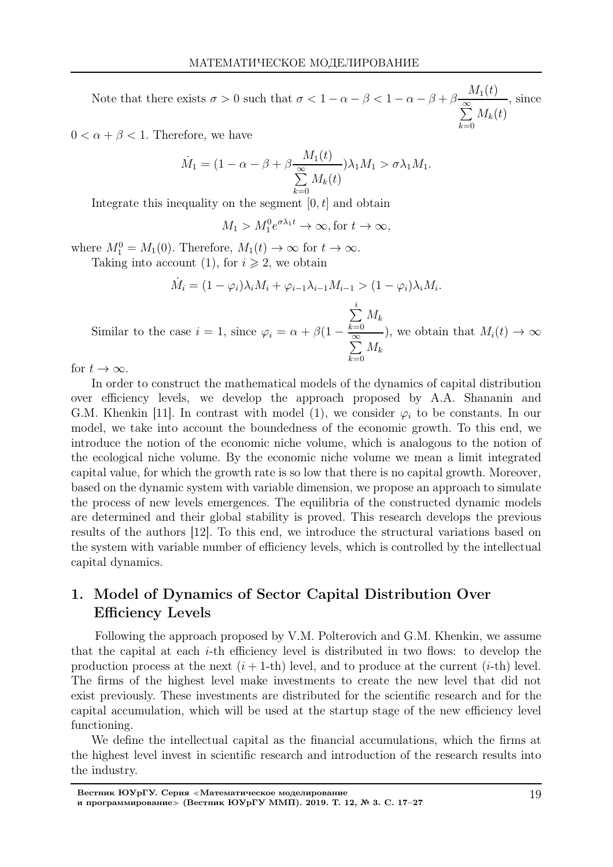Note that there exists  $\sigma > 0$  such that  $\sigma < 1 - \alpha - \beta < 1 - \alpha - \beta + \beta \frac{M_1(t)}{\infty}$  $\sum^{\infty}$  $_{k=0}$  $M_k(t)$ , since

 $0 < \alpha + \beta < 1$ . Therefore, we have

$$
\dot{M}_1 = (1 - \alpha - \beta + \beta \frac{M_1(t)}{\sum_{k=0}^{\infty} M_k(t)}) \lambda_1 M_1 > \sigma \lambda_1 M_1.
$$

Integrate this inequality on the segment  $[0, t]$  and obtain

 $M_1 > M_1^0 e^{\sigma \lambda_1 t} \to \infty$ , for  $t \to \infty$ ,

where  $M_1^0 = M_1(0)$ . Therefore,  $M_1(t) \to \infty$  for  $t \to \infty$ .

Taking into account (1), for  $i \geq 2$ , we obtain

$$
\dot{M}_i = (1 - \varphi_i)\lambda_i M_i + \varphi_{i-1}\lambda_{i-1}M_{i-1} > (1 - \varphi_i)\lambda_i M_i.
$$

Similar to the case  $i = 1$ , since  $\varphi_i = \alpha + \beta(1 - \pi)$  $\sum$ i  $_{k=0}$  $M_k$  $\sum^{\infty} M_k$  $k=0$ ), we obtain that  $M_i(t) \to \infty$ 

for  $t \to \infty$ .

In order to construct the mathematical models of the dynamics of capital distribution over efficiency levels, we develop the approach proposed by A.A. Shananin and G.M. Khenkin [11]. In contrast with model (1), we consider  $\varphi_i$  to be constants. In our model, we take into account the boundedness of the economic growth. To this end, we introduce the notion of the economic niche volume, which is analogous to the notion of the ecological niche volume. By the economic niche volume we mean a limit integrated capital value, for which the growth rate is so low that there is no capital growth. Moreover, based on the dynamic system with variable dimension, we propose an approach to simulate the process of new levels emergences. The equilibria of the constructed dynamic models are determined and their global stability is proved. This research develops the previous results of the authors [12]. To this end, we introduce the structural variations based on the system with variable number of efficiency levels, which is controlled by the intellectual capital dynamics.

# 1. Model of Dynamics of Sector Capital Distribution Over Efficiency Levels

Following the approach proposed by V.M. Polterovich and G.M. Khenkin, we assume that the capital at each i-th efficiency level is distributed in two flows: to develop the production process at the next  $(i+1-th)$  level, and to produce at the current  $(i-th)$  level. The firms of the highest level make investments to create the new level that did not exist previously. These investments are distributed for the scientific research and for the capital accumulation, which will be used at the startup stage of the new efficiency level functioning.

We define the intellectual capital as the financial accumulations, which the firms at the highest level invest in scientific research and introduction of the research results into the industry.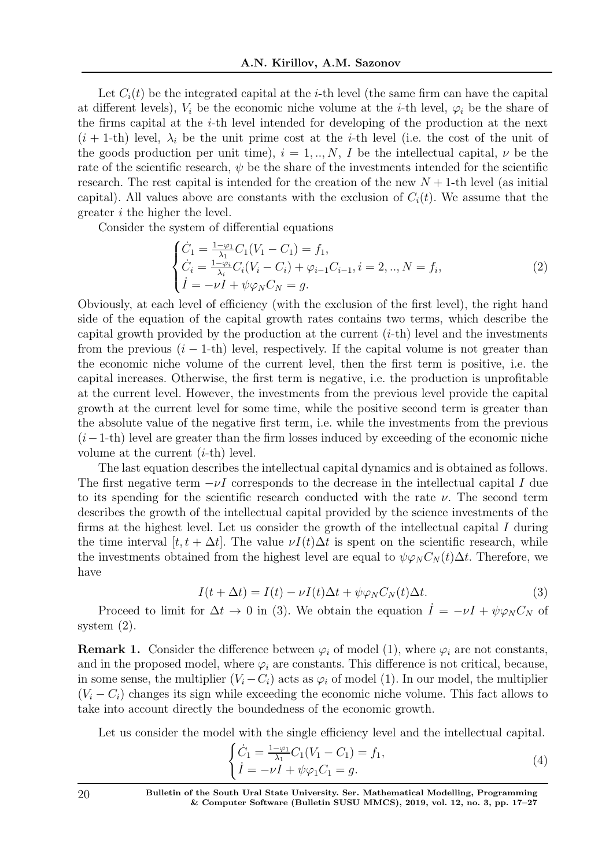Let  $C_i(t)$  be the integrated capital at the *i*-th level (the same firm can have the capital at different levels),  $V_i$  be the economic niche volume at the *i*-th level,  $\varphi_i$  be the share of the firms capital at the i-th level intended for developing of the production at the next  $(i + 1$ -th) level,  $\lambda_i$  be the unit prime cost at the *i*-th level (i.e. the cost of the unit of the goods production per unit time),  $i = 1, ..., N$ , I be the intellectual capital,  $\nu$  be the rate of the scientific research,  $\psi$  be the share of the investments intended for the scientific research. The rest capital is intended for the creation of the new  $N + 1$ -th level (as initial capital). All values above are constants with the exclusion of  $C_i(t)$ . We assume that the greater i the higher the level.

Consider the system of differential equations

$$
\begin{cases}\n\dot{C}_1 = \frac{1-\varphi_1}{\lambda_1} C_1 (V_1 - C_1) = f_1, \\
\dot{C}_i = \frac{1-\varphi_i}{\lambda_i} C_i (V_i - C_i) + \varphi_{i-1} C_{i-1}, i = 2, ..., N = f_i, \\
\dot{I} = -\nu I + \psi \varphi_N C_N = g.\n\end{cases}
$$
\n(2)

Obviously, at each level of efficiency (with the exclusion of the first level), the right hand side of the equation of the capital growth rates contains two terms, which describe the capital growth provided by the production at the current  $(i-th)$  level and the investments from the previous  $(i - 1$ -th) level, respectively. If the capital volume is not greater than the economic niche volume of the current level, then the first term is positive, i.e. the capital increases. Otherwise, the first term is negative, i.e. the production is unprofitable at the current level. However, the investments from the previous level provide the capital growth at the current level for some time, while the positive second term is greater than the absolute value of the negative first term, i.e. while the investments from the previous  $(i-1-th)$  level are greater than the firm losses induced by exceeding of the economic niche volume at the current  $(i-th)$  level.

The last equation describes the intellectual capital dynamics and is obtained as follows. The first negative term  $-\nu I$  corresponds to the decrease in the intellectual capital I due to its spending for the scientific research conducted with the rate  $\nu$ . The second term describes the growth of the intellectual capital provided by the science investments of the firms at the highest level. Let us consider the growth of the intellectual capital  $I$  during the time interval  $[t, t + \Delta t]$ . The value  $\nu I(t) \Delta t$  is spent on the scientific research, while the investments obtained from the highest level are equal to  $\psi \varphi_N C_N(t) \Delta t$ . Therefore, we have

$$
I(t + \Delta t) = I(t) - \nu I(t)\Delta t + \psi \varphi_N C_N(t)\Delta t.
$$
\n(3)

Proceed to limit for  $\Delta t \to 0$  in (3). We obtain the equation  $\dot{I} = -\nu I + \psi \varphi_N C_N$  of system (2).

**Remark 1.** Consider the difference between  $\varphi_i$  of model (1), where  $\varphi_i$  are not constants, and in the proposed model, where  $\varphi_i$  are constants. This difference is not critical, because, in some sense, the multiplier  $(V_i - C_i)$  acts as  $\varphi_i$  of model (1). In our model, the multiplier  $(V_i - C_i)$  changes its sign while exceeding the economic niche volume. This fact allows to take into account directly the boundedness of the economic growth.

Let us consider the model with the single efficiency level and the intellectual capital.

$$
\begin{cases}\n\dot{C}_1 = \frac{1 - \varphi_1}{\lambda_1} C_1 (V_1 - C_1) = f_1, \\
\dot{I} = -\nu I + \psi \varphi_1 C_1 = g.\n\end{cases}
$$
\n(4)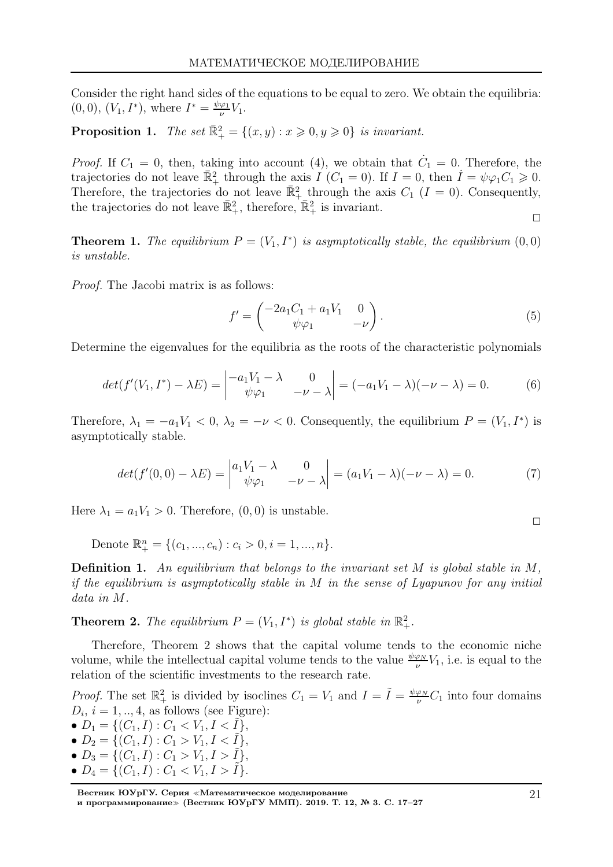Consider the right hand sides of the equations to be equal to zero. We obtain the equilibria:  $(0,0), (V_1, I^*),$  where  $I^* = \frac{\psi \varphi_1}{\nu}$  $\frac{\varphi_1}{\nu}V_1$ .

**Proposition 1.** The set  $\mathbb{R}^2_+ = \{(x, y) : x \geq 0, y \geq 0\}$  is invariant.

*Proof.* If  $C_1 = 0$ , then, taking into account (4), we obtain that  $\dot{C}_1 = 0$ . Therefore, the trajectories do not leave  $\mathbb{R}^2_+$  through the axis  $I(C_1 = 0)$ . If  $I = 0$ , then  $\dot{I} = \psi \varphi_1 C_1 \geq 0$ . Therefore, the trajectories do not leave  $\mathbb{R}^2_+$  through the axis  $C_1$  ( $I = 0$ ). Consequently, the trajectories do not leave  $\mathbb{\bar{R}}_+^2$ , therefore,  $\mathbb{\bar{R}}_+^2$  is invariant.  $\Box$ 

**Theorem 1.** The equilibrium  $P = (V_1, I^*)$  is asymptotically stable, the equilibrium  $(0,0)$ is unstable.

Proof. The Jacobi matrix is as follows:

$$
f' = \begin{pmatrix} -2a_1C_1 + a_1V_1 & 0\\ \psi\varphi_1 & -\nu \end{pmatrix}.
$$
 (5)

Determine the eigenvalues for the equilibria as the roots of the characteristic polynomials

$$
det(f'(V_1, I^*) - \lambda E) = \begin{vmatrix} -a_1 V_1 - \lambda & 0 \\ \psi \varphi_1 & -\nu - \lambda \end{vmatrix} = (-a_1 V_1 - \lambda)(-\nu - \lambda) = 0.
$$
 (6)

Therefore,  $\lambda_1 = -a_1 V_1 < 0$ ,  $\lambda_2 = -\nu < 0$ . Consequently, the equilibrium  $P = (V_1, I^*)$  is asymptotically stable.

$$
det(f'(0,0) - \lambda E) = \begin{vmatrix} a_1 V_1 - \lambda & 0 \\ \psi \varphi_1 & -\nu - \lambda \end{vmatrix} = (a_1 V_1 - \lambda)(-\nu - \lambda) = 0.
$$
 (7)

Here  $\lambda_1 = a_1 V_1 > 0$ . Therefore,  $(0, 0)$  is unstable.

Denote  $\mathbb{R}^n_+ = \{(c_1, ..., c_n) : c_i > 0, i = 1, ..., n\}.$ 

**Definition 1.** An equilibrium that belongs to the invariant set  $M$  is global stable in  $M$ , if the equilibrium is asymptotically stable in  $M$  in the sense of Lyapunov for any initial data in M.

**Theorem 2.** The equilibrium  $P = (V_1, I^*)$  is global stable in  $\mathbb{R}^2_+$ .

Therefore, Theorem 2 shows that the capital volume tends to the economic niche volume, while the intellectual capital volume tends to the value  $\frac{\psi \varphi_N}{\nu} V_1$ , i.e. is equal to the relation of the scientific investments to the research rate.

*Proof.* The set  $\mathbb{R}^2_+$  is divided by isoclines  $C_1 = V_1$  and  $I = \tilde{I} = \frac{\psi \varphi_N}{\nu}$  $\frac{\varphi_N}{\nu}C_1$  into four domains  $D_i$ ,  $i = 1, ..., 4$ , as follows (see Figure):

•  $D_1 = \{ (C_1, I) : C_1 < V_1, I < I \},\$ •  $D_2 = \{ (C_1, I) : C_1 > V_1, I < I \},\$ •  $D_3 = \{ (C_1, I) : C_1 > V_1, I > \tilde{I} \},\$ 

•  $D_4 = \{ (C_1, I) : C_1 < V_1, I > I \}.$ 

 $\Box$ 

Вестник ЮУрГУ. Серия <sup>≪</sup>Математическое моделирование и программирование≫ (Вестник ЮУрГУ ММП). 2019. Т. 12, № 3. С. 17–27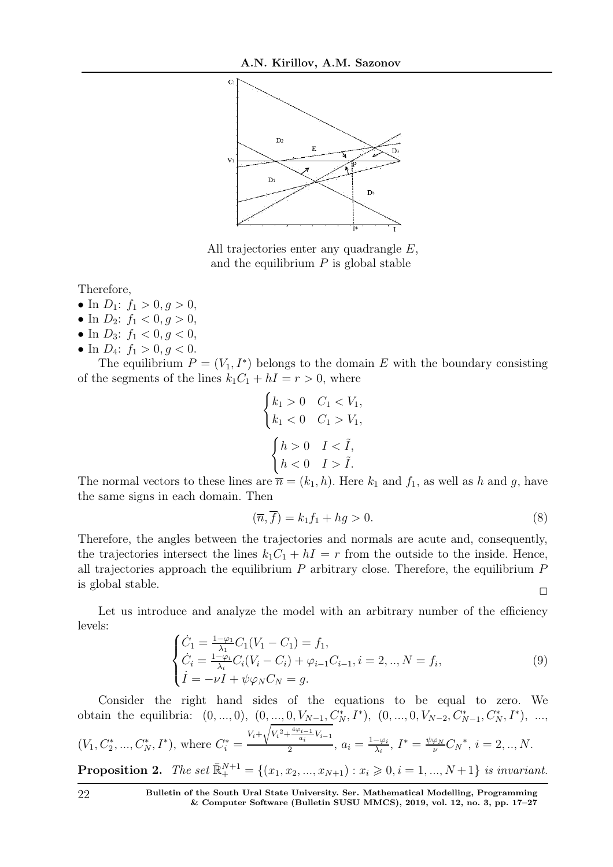

All trajectories enter any quadrangle E, and the equilibrium  $P$  is global stable

Therefore,

- In  $D_1$ :  $f_1 > 0, g > 0$ ,
- In  $D_2$ :  $f_1 < 0, g > 0$ ,
- In  $D_3$ :  $f_1 < 0, g < 0$ ,
- In  $D_4$ :  $f_1 > 0, g < 0$ .

The equilibrium  $P = (V_1, I^*)$  belongs to the domain E with the boundary consisting of the segments of the lines  $k_1C_1 + hI = r > 0$ , where

$$
\begin{cases} k_1 > 0 & C_1 < V_1, \\ k_1 < 0 & C_1 > V_1, \end{cases}
$$

$$
\begin{cases} h > 0 & I < \tilde{I}, \\ h < 0 & I > \tilde{I}. \end{cases}
$$

The normal vectors to these lines are  $\overline{n} = (k_1, h)$ . Here  $k_1$  and  $f_1$ , as well as h and g, have the same signs in each domain. Then

$$
(\overline{n}, \overline{f}) = k_1 f_1 + h g > 0. \tag{8}
$$

Therefore, the angles between the trajectories and normals are acute and, consequently, the trajectories intersect the lines  $k_1C_1 + hI = r$  from the outside to the inside. Hence, all trajectories approach the equilibrium  $P$  arbitrary close. Therefore, the equilibrium  $P$ is global stable.  $\Box$ 

Let us introduce and analyze the model with an arbitrary number of the efficiency levels:

$$
\begin{cases}\n\dot{C}_1 = \frac{1-\varphi_1}{\lambda_1} C_1 (V_1 - C_1) = f_1, \\
\dot{C}_i = \frac{1-\varphi_i}{\lambda_i} C_i (V_i - C_i) + \varphi_{i-1} C_{i-1}, i = 2, ..., N = f_i, \\
\dot{I} = -\nu I + \psi \varphi_N C_N = g.\n\end{cases}
$$
\n(9)

Consider the right hand sides of the equations to be equal to zero. We obtain the equilibria:  $(0, ..., 0), (0, ..., 0, V_{N-1}, C_N^*, I^*), (0, ..., 0, V_{N-2}, C_{N-1}^*, C_N^*, I^*), ...,$  $(V_1, C_2^*, ..., C_N^*, I^*)$ , where  $C_i^* = \frac{V_i + \sqrt{V_i^2 + \frac{4\varphi_{i-1}}{a_i}}}{2}$  $\frac{i-1}{a_i}V_{i-1}$  $\frac{a_i - v_{i-1}}{2}, a_i = \frac{1-\varphi_i}{\lambda_i}$  $\frac{-\varphi_i}{\lambda_i}, I^* = \frac{\psi \varphi_N}{\nu} C_N^*, i = 2, ..., N.$ **Proposition 2.** The set  $\mathbb{R}^{N+1}_{+} = \{(x_1, x_2, ..., x_{N+1}) : x_i \geq 0, i = 1, ..., N+1\}$  is invariant.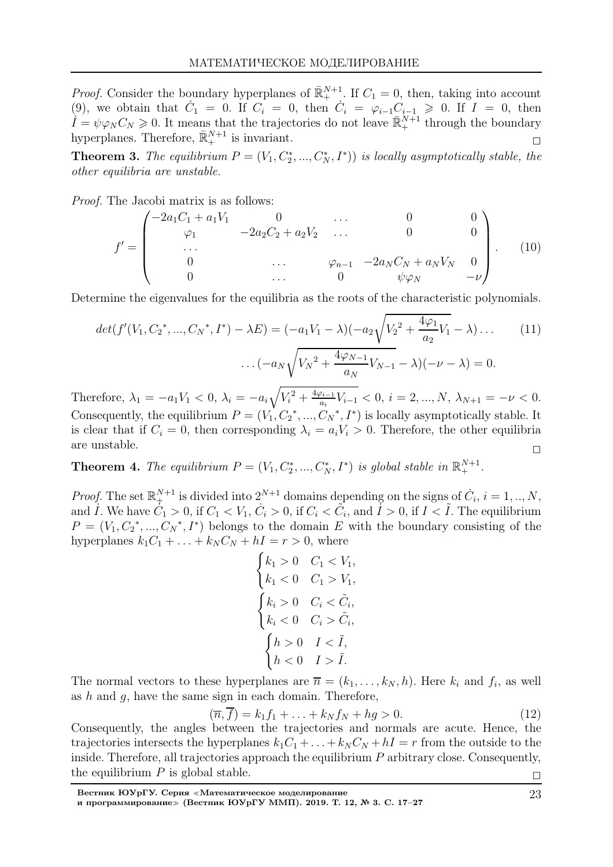*Proof.* Consider the boundary hyperplanes of  $\mathbb{R}^{N+1}_{+}$ . If  $C_1 = 0$ , then, taking into account (9), we obtain that  $\dot{C}_1 = 0$ . If  $C_i = 0$ , then  $\dot{C}_i = \varphi_{i-1} C_{i-1} \geq 0$ . If  $I = 0$ , then  $I = \psi \varphi_N C_N \geq 0$ . It means that the trajectories do not leave  $\bar{\mathbb{R}}_+^{N+1}$  through the boundary hyperplanes. Therefore,  $\bar{\mathbb{R}}_{+}^{N+1}$  is invariant.

**Theorem 3.** The equilibrium  $P = (V_1, C_2^*, ..., C_N^*, I^*))$  is locally asymptotically stable, the other equilibria are unstable.

Proof. The Jacobi matrix is as follows:

$$
f' = \begin{pmatrix} -2a_1C_1 + a_1V_1 & 0 & \dots & 0 & 0\\ \varphi_1 & -2a_2C_2 + a_2V_2 & \dots & 0 & 0\\ \dots & \dots & \varphi_{n-1} & -2a_NC_N + a_NV_N & 0\\ 0 & \dots & 0 & \psi\varphi_N & -\nu \end{pmatrix}.
$$
 (10)

Determine the eigenvalues for the equilibria as the roots of the characteristic polynomials.

$$
det(f'(V_1, C_2^*, ..., C_N^*, I^*) - \lambda E) = (-a_1V_1 - \lambda)(-a_2\sqrt{V_2^2 + \frac{4\varphi_1}{a_2}V_1} - \lambda) \dots
$$
\n
$$
\dots(-a_N\sqrt{V_N^2 + \frac{4\varphi_{N-1}}{a_N}V_{N-1}} - \lambda)(-\nu - \lambda) = 0.
$$
\n(11)

Therefore,  $\lambda_1 = -a_1 V_1 < 0$ ,  $\lambda_i = -a_i \sqrt{V_i^2 + \frac{4\varphi_{i-1}}{a_i}}$  $\frac{\partial i-1}{\partial a_i}V_{i-1} < 0, i = 2, ..., N, \lambda_{N+1} = -\nu < 0.$ Consequently, the equilibrium  $P = (V_1, C_2^*, ..., C_N^*, I^*)$  is locally asymptotically stable. It is clear that if  $C_i = 0$ , then corresponding  $\lambda_i = a_i V_i > 0$ . Therefore, the other equilibria are unstable.  $\Box$ 

**Theorem 4.** The equilibrium  $P = (V_1, C_2^*, ..., C_N^*, I^*)$  is global stable in  $\mathbb{R}^{N+1}_+$ .

*Proof.* The set  $\mathbb{R}^{N+1}_+$  is divided into  $2^{N+1}$  domains depending on the signs of  $C_i$ ,  $i = 1, ..., N$ , and  $\dot{I}$ . We have  $\dot{C}_1 > 0$ , if  $C_1 < V_1$ ,  $\dot{C}_i > 0$ , if  $C_i < \tilde{C}_i$ , and  $\dot{I} > 0$ , if  $I < \tilde{I}$ . The equilibrium  $P = (V_1, C_2^*, ..., C_N^*, I^*)$  belongs to the domain E with the boundary consisting of the hyperplanes  $k_1C_1 + \ldots + k_N C_N + hI = r > 0$ , where

$$
\begin{cases}\nk_1 > 0 & C_1 < V_1, \\
k_1 < 0 & C_1 > V_1, \\
k_i > 0 & C_i < \tilde{C}_i, \\
k_i < 0 & C_i > \tilde{C}_i, \\
h > 0 & I < \tilde{I}, \\
h < 0 & I > \tilde{I}.\n\end{cases}
$$

The normal vectors to these hyperplanes are  $\overline{n} = (k_1, \ldots, k_N, h)$ . Here  $k_i$  and  $f_i$ , as well as  $h$  and  $g$ , have the same sign in each domain. Therefore,

$$
(\overline{n}, \overline{f}) = k_1 f_1 + \ldots + k_N f_N + h g > 0. \tag{12}
$$

Consequently, the angles between the trajectories and normals are acute. Hence, the trajectories intersects the hyperplanes  $k_1C_1 + \ldots + k_N C_N + hI = r$  from the outside to the inside. Therefore, all trajectories approach the equilibrium  $P$  arbitrary close. Consequently, the equilibrium  $P$  is global stable.  $\Box$ 

Вестник ЮУрГУ. Серия <sup>≪</sup>Математическое моделирование и программирование≫ (Вестник ЮУрГУ ММП). 2019. Т. 12, № 3. С. 17–27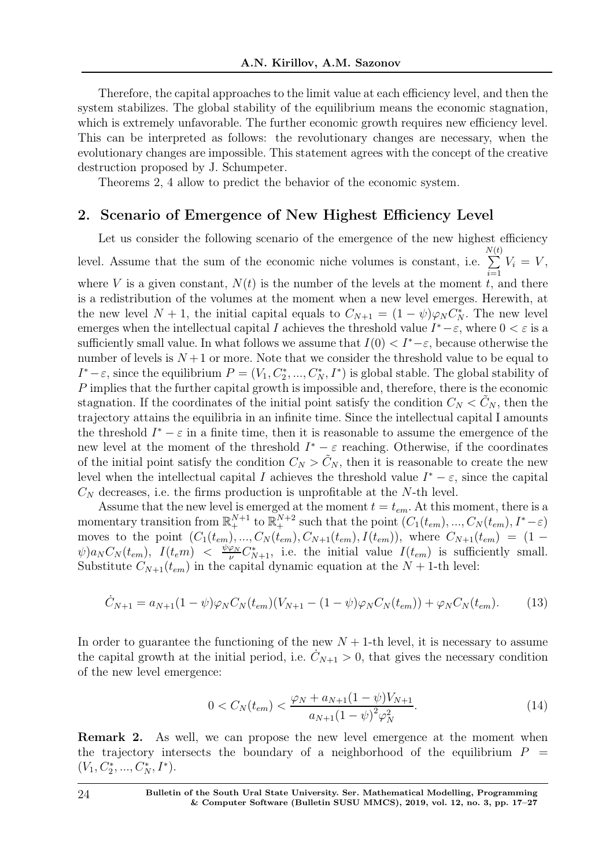Therefore, the capital approaches to the limit value at each efficiency level, and then the system stabilizes. The global stability of the equilibrium means the economic stagnation, which is extremely unfavorable. The further economic growth requires new efficiency level. This can be interpreted as follows: the revolutionary changes are necessary, when the evolutionary changes are impossible. This statement agrees with the concept of the creative destruction proposed by J. Schumpeter.

Theorems 2, 4 allow to predict the behavior of the economic system.

### 2. Scenario of Emergence of New Highest Efficiency Level

Let us consider the following scenario of the emergence of the new highest efficiency level. Assume that the sum of the economic niche volumes is constant, i.e. N  $\sum$  $\left( t\right)$  $\frac{i=1}{i}$  $V_i = V$ , where V is a given constant,  $N(t)$  is the number of the levels at the moment t, and there is a redistribution of the volumes at the moment when a new level emerges. Herewith, at the new level  $N + 1$ , the initial capital equals to  $C_{N+1} = (1 - \psi)\varphi_N C_N^*$ . The new level emerges when the intellectual capital I achieves the threshold value  $I^* - \varepsilon$ , where  $0 < \varepsilon$  is a sufficiently small value. In what follows we assume that  $I(0) < I^*-\varepsilon$ , because otherwise the number of levels is  $N+1$  or more. Note that we consider the threshold value to be equal to  $I^* - \varepsilon$ , since the equilibrium  $P = (V_1, C_2^*, ..., C_N^*, I^*)$  is global stable. The global stability of P implies that the further capital growth is impossible and, therefore, there is the economic stagnation. If the coordinates of the initial point satisfy the condition  $C_N < C_N$ , then the trajectory attains the equilibria in an infinite time. Since the intellectual capital I amounts the threshold  $I^* - \varepsilon$  in a finite time, then it is reasonable to assume the emergence of the new level at the moment of the threshold  $I^* - \varepsilon$  reaching. Otherwise, if the coordinates of the initial point satisfy the condition  $C_N > C_N$ , then it is reasonable to create the new level when the intellectual capital I achieves the threshold value  $I^* - \varepsilon$ , since the capital  $C_N$  decreases, i.e. the firms production is unprofitable at the N-th level.

Assume that the new level is emerged at the moment  $t = t_{em}$ . At this moment, there is a momentary transition from  $\mathbb{R}^{N+1}_+$  to  $\mathbb{R}^{N+2}_+$  such that the point  $(C_1(t_{em}), ..., C_N(t_{em}), I^*-\varepsilon)$ moves to the point  $(C_1(t_{em}),..., C_N(t_{em}), C_{N+1}(t_{em}), I(t_{em}))$ , where  $C_{N+1}(t_{em}) = (1 \psi)a_N C_N(t_{em})$ ,  $I(t_{em})$   $\langle \frac{\psi \varphi_N}{\nu} C_{N+1}^*$ , i.e. the initial value  $I(t_{em})$  is sufficiently small. Substitute  $C_{N+1}(t_{em})$  in the capital dynamic equation at the  $N+1$ -th level:

$$
\dot{C}_{N+1} = a_{N+1}(1-\psi)\varphi_N C_N(t_{em})(V_{N+1} - (1-\psi)\varphi_N C_N(t_{em})) + \varphi_N C_N(t_{em}).
$$
 (13)

In order to guarantee the functioning of the new  $N + 1$ -th level, it is necessary to assume the capital growth at the initial period, i.e.  $C_{N+1} > 0$ , that gives the necessary condition of the new level emergence:

$$
0 < C_N(t_{em}) < \frac{\varphi_N + a_{N+1}(1 - \psi)V_{N+1}}{a_{N+1}(1 - \psi)^2 \varphi_N^2}.\tag{14}
$$

Remark 2. As well, we can propose the new level emergence at the moment when the trajectory intersects the boundary of a neighborhood of the equilibrium  $P =$  $(V_1, C_2^*, ..., C_N^*, I^*).$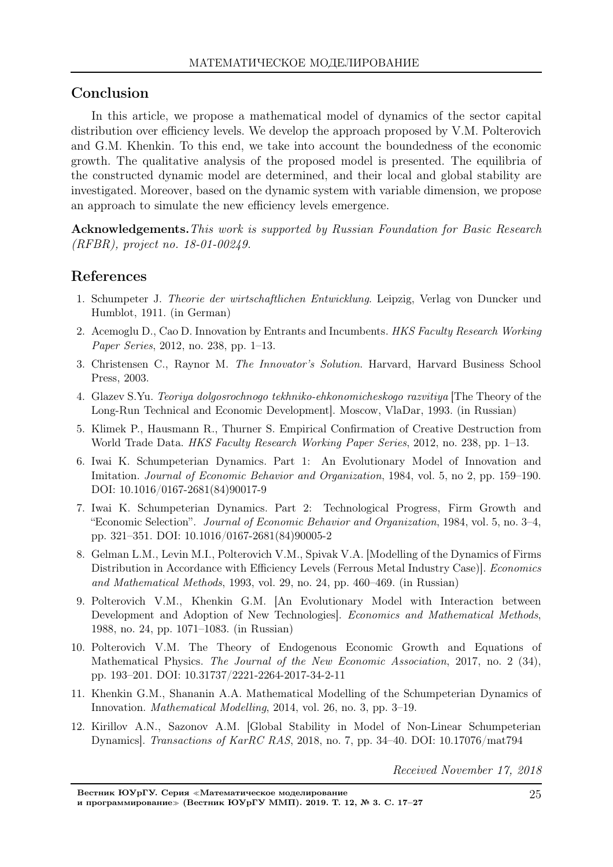# Conclusion

In this article, we propose a mathematical model of dynamics of the sector capital distribution over efficiency levels. We develop the approach proposed by V.M. Polterovich and G.M. Khenkin. To this end, we take into account the boundedness of the economic growth. The qualitative analysis of the proposed model is presented. The equilibria of the constructed dynamic model are determined, and their local and global stability are investigated. Moreover, based on the dynamic system with variable dimension, we propose an approach to simulate the new efficiency levels emergence.

Acknowledgements. This work is supported by Russian Foundation for Basic Research (RFBR), project no. 18-01-00249.

# References

- 1. Schumpeter J. Theorie der wirtschaftlichen Entwicklung. Leipzig, Verlag von Duncker und Humblot, 1911. (in German)
- 2. Acemoglu D., Cao D. Innovation by Entrants and Incumbents. HKS Faculty Research Working Paper Series, 2012, no. 238, pp. 1–13.
- 3. Christensen C., Raynor M. The Innovator's Solution. Harvard, Harvard Business School Press, 2003.
- 4. Glazev S.Yu. Teoriya dolgosrochnogo tekhniko-ehkonomicheskogo razvitiya [The Theory of the Long-Run Technical and Economic Development]. Moscow, VlaDar, 1993. (in Russian)
- 5. Klimek P., Hausmann R., Thurner S. Empirical Confirmation of Creative Destruction from World Trade Data. HKS Faculty Research Working Paper Series, 2012, no. 238, pp. 1–13.
- 6. Iwai K. Schumpeterian Dynamics. Part 1: An Evolutionary Model of Innovation and Imitation. Journal of Economic Behavior and Organization, 1984, vol. 5, no 2, pp. 159–190. DOI: 10.1016/0167-2681(84)90017-9
- 7. Iwai K. Schumpeterian Dynamics. Part 2: Technological Progress, Firm Growth and "Economic Selection". Journal of Economic Behavior and Organization, 1984, vol. 5, no. 3–4, pp. 321–351. DOI: 10.1016/0167-2681(84)90005-2
- 8. Gelman L.M., Levin M.I., Polterovich V.M., Spivak V.A. [Modelling of the Dynamics of Firms Distribution in Accordance with Efficiency Levels (Ferrous Metal Industry Case). Economics and Mathematical Methods, 1993, vol. 29, no. 24, pp. 460–469. (in Russian)
- 9. Polterovich V.M., Khenkin G.M. [An Evolutionary Model with Interaction between Development and Adoption of New Technologies]. Economics and Mathematical Methods, 1988, no. 24, pp. 1071–1083. (in Russian)
- 10. Polterovich V.M. The Theory of Endogenous Economic Growth and Equations of Mathematical Physics. The Journal of the New Economic Association, 2017, no. 2 (34), pp. 193–201. DOI: 10.31737/2221-2264-2017-34-2-11
- 11. Khenkin G.M., Shananin A.A. Mathematical Modelling of the Schumpeterian Dynamics of Innovation. Mathematical Modelling, 2014, vol. 26, no. 3, pp. 3–19.
- 12. Kirillov A.N., Sazonov A.M. [Global Stability in Model of Non-Linear Schumpeterian Dynamics]. Transactions of KarRC RAS, 2018, no. 7, pp. 34–40. DOI: 10.17076/mat794

Received November 17, 2018

Вестник ЮУрГУ. Серия <sup>≪</sup>Математическое моделирование и программирование<sup>≫</sup> (Вестник ЮУрГУ ММП). 2019. Т. 12, № 3. С. 17–27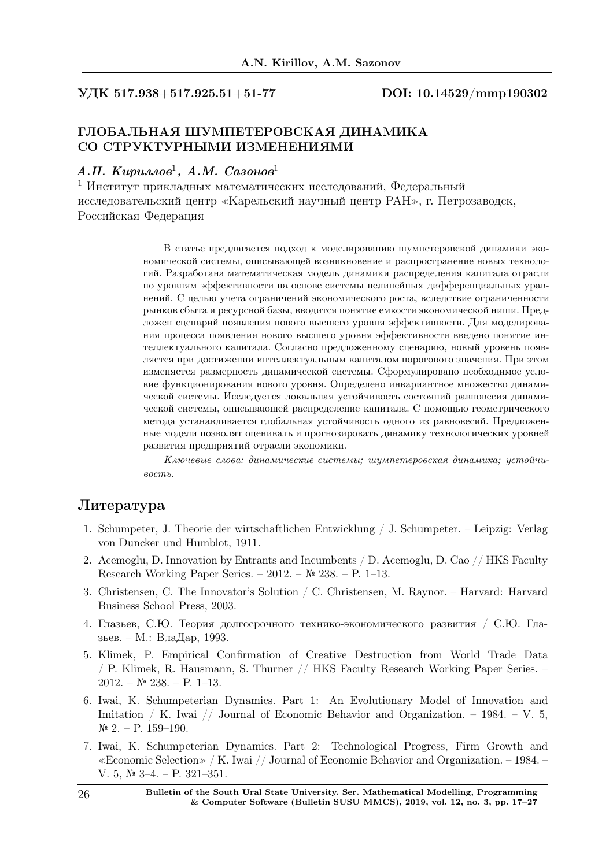УДК 517.938+517.925.51+51-77 DOI: 10.14529/mmp190302

## ГЛОБАЛЬНАЯ ШУМПЕТЕРОВСКАЯ ДИНАМИКА СО СТРУКТУРНЫМИ ИЗМЕНЕНИЯМИ

#### А.Н. Кириллов<sup>1</sup>, А.М. Сазонов<sup>1</sup>

<sup>1</sup> Институт прикладных математических исследований, Федеральный исследовательский центр <sup>≪</sup>Карельский научный центр РАН≫, г. Петрозаводск, Российская Федерация

> В статье предлагается подход к моделированию шумпетеровской динамики экономической системы, описывающей возникновение и распространение новых технологий. Разработана математическая модель динамики распределения капитала отрасли по уровням эффективности на основе системы нелинейных дифференциальных уравнений. С целью учета ограничений экономического роста, вследствие ограниченности рынков сбыта и ресурсной базы, вводится понятие емкости экономической ниши. Предложен сценарий появления нового высшего уровня эффективности. Для моделирования процесса появления нового высшего уровня эффективности введено понятие интеллектуального капитала. Согласно предложенному сценарию, новый уровень появляется при достижении интеллектуальным капиталом порогового значения. При этом изменяется размерность динамической системы. Сформулировано необходимое условие функционирования нового уровня. Определено инвариантное множество динамической системы. Исследуется локальная устойчивость состояний равновесия динамической системы, описывающей распределение капитала. С помощью геометрического метода устанавливается глобальная устойчивость одного из равновесий. Предложенные модели позволят оценивать и прогнозировать динамику технологических уровней развития предприятий отрасли экономики.

> Ключевые слова: динамические системы; шумпетеровская динамика; устойчивость.

### Литература

- 1. Schumpeter, J. Theorie der wirtschaftlichen Entwicklung / J. Schumpeter. Leipzig: Verlag von Duncker und Humblot, 1911.
- 2. Acemoglu, D. Innovation by Entrants and Incumbents / D. Acemoglu, D. Cao // HKS Faculty Research Working Paper Series. – 2012. – № 238. – P. 1–13.
- 3. Christensen, C. The Innovator's Solution / C. Christensen, M. Raynor. Harvard: Harvard Business School Press, 2003.
- 4. Глазьев, С.Ю. Теория долгосрочного технико-экономического развития / С.Ю. Глазьев. – М.: ВлаДар, 1993.
- 5. Klimek, P. Empirical Confirmation of Creative Destruction from World Trade Data / P. Klimek, R. Hausmann, S. Thurner // HKS Faculty Research Working Paper Series. –  $2012. - N$ <sup>2</sup> 238. – P. 1–13.
- 6. Iwai, K. Schumpeterian Dynamics. Part 1: An Evolutionary Model of Innovation and Imitation / K. Iwai // Journal of Economic Behavior and Organization. – 1984. – V. 5,  $\mathbb{N}^{\circ}$  2. – P. 159–190.
- 7. Iwai, K. Schumpeterian Dynamics. Part 2: Technological Progress, Firm Growth and <sup>≪</sup>Economic Selection<sup>≫</sup> / K. Iwai // Journal of Economic Behavior and Organization. – 1984. – V. 5, № 3-4. – P. 321–351.